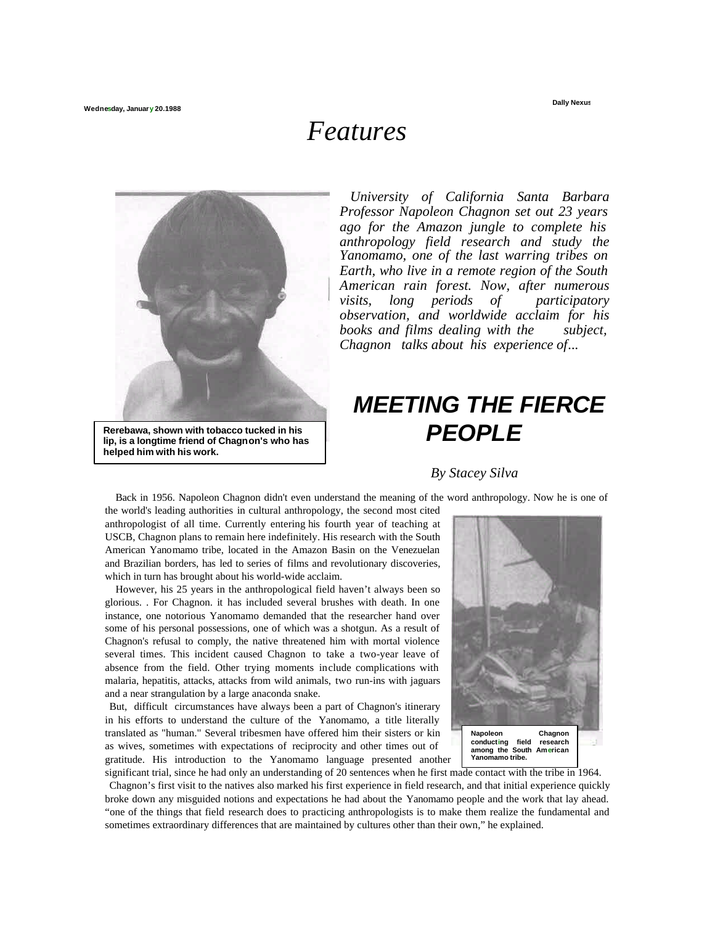**Dally Nexus**

## *Features*



**lip, is a longtime friend of Chagnon's who has helped him with his work.**

*University of California Santa Barbara Professor Napoleon Chagnon set out 23 years ago for the Amazon jungle to complete his anthropology field research and study the Yanomamo, one of the last warring tribes on Earth, who live in a remote region of the South American rain forest. Now, after numerous visits, long periods of participatory observation, and worldwide acclaim for his books and films dealing with the subject, Chagnon talks about his experience of...*

## *MEETING THE FIERCE PEOPLE*

## *By Stacey Silva*

Back in 1956. Napoleon Chagnon didn't even understand the meaning of the word anthropology. Now he is one of the world's leading authorities in cultural anthropology, the second most cited

anthropologist of all time. Currently entering his fourth year of teaching at USCB, Chagnon plans to remain here indefinitely. His research with the South American Yanomamo tribe, located in the Amazon Basin on the Venezuelan and Brazilian borders, has led to series of films and revolutionary discoveries, which in turn has brought about his world-wide acclaim.

However, his 25 years in the anthropological field haven't always been so glorious. . For Chagnon. it has included several brushes with death. In one instance, one notorious Yanomamo demanded that the researcher hand over some of his personal possessions, one of which was a shotgun. As a result of Chagnon's refusal to comply, the native threatened him with mortal violence several times. This incident caused Chagnon to take a two-year leave of absence from the field. Other trying moments include complications with malaria, hepatitis, attacks, attacks from wild animals, two run-ins with jaguars and a near strangulation by a large anaconda snake.

But, difficult circumstances have always been a part of Chagnon's itinerary in his efforts to understand the culture of the Yanomamo, a title literally translated as "human." Several tribesmen have offered him their sisters or kin as wives, sometimes with expectations of reciprocity and other times out of gratitude. His introduction to the Yanomamo language presented another



significant trial, since he had only an understanding of 20 sentences when he first made contact with the tribe in 1964. Chagnon's first visit to the natives also marked his first experience in field research, and that initial experience quickly broke down any misguided notions and expectations he had about the Yanomamo people and the work that lay ahead. "one of the things that field research does to practicing anthropologists is to make them realize the fundamental and sometimes extraordinary differences that are maintained by cultures other than their own," he explained.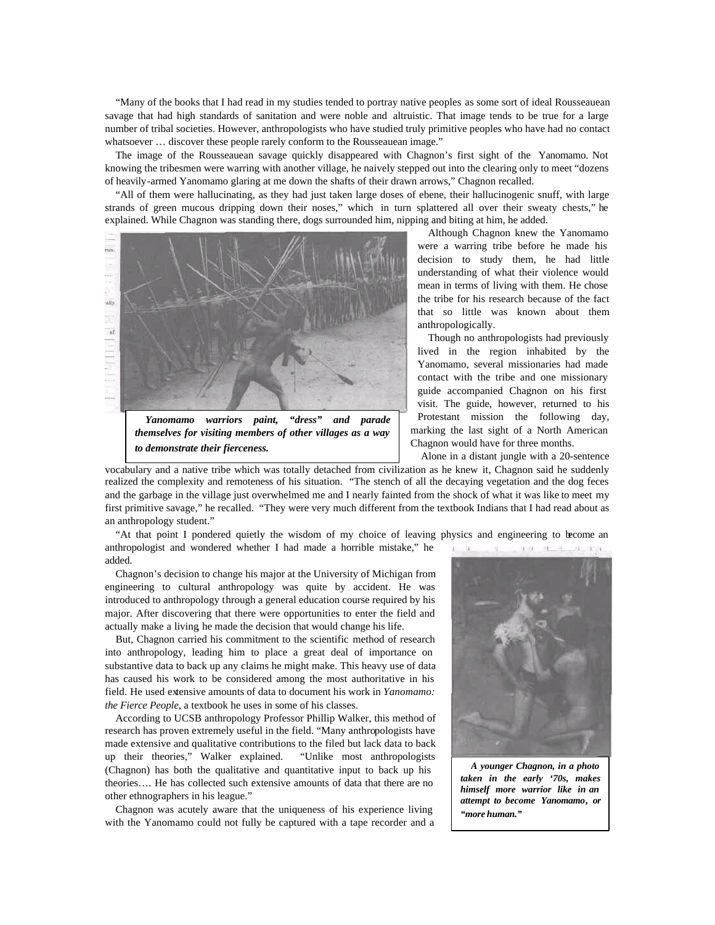"Many of the books that I had read in my studies tended to portray native peoples as some sort of ideal Rousseauean savage that had high standards of sanitation and were noble and altruistic. That image tends to be true for a large number of tribal societies. However, anthropologists who have studied truly primitive peoples who have had no contact whatsoever ... discover these people rarely conform to the Rousseauean image."

The image of the Rousseauean savage quickly disappeared with Chagnon's first sight of the Yanomamo. Not knowing the tribesmen were warring with another village, he naively stepped out into the clearing only to meet "dozens of heavily-armed Yanomamo glaring at me down the shafts of their drawn arrows," Chagnon recalled.

"All of them were hallucinating, as they had just taken large doses of ebene, their hallucinogenic snuff, with large strands of green mucous dripping down their noses," which in turn splattered all over their sweaty chests," he explained. While Chagnon was standing there, dogs surrounded him, nipping and biting at him, he added.



*themselves for visiting members of other villages as a way to demonstrate their fierceness.*

Although Chagnon knew the Yanomamo were a warring tribe before he made his decision to study them, he had little understanding of what their violence would mean in terms of living with them. He chose the tribe for his research because of the fact that so little was known about them anthropologically.

Though no anthropologists had previously lived in the region inhabited by the Yanomamo, several missionaries had made contact with the tribe and one missionary guide accompanied Chagnon on his first visit. The guide, however, returned to his Protestant mission the following day, marking the last sight of a North American Chagnon would have for three months.

Alone in a distant jungle with a 20-sentence

vocabulary and a native tribe which was totally detached from civilization as he knew it, Chagnon said he suddenly realized the complexity and remoteness of his situation. "The stench of all the decaying vegetation and the dog feces and the garbage in the village just overwhelmed me and I nearly fainted from the shock of what it was like to meet my first primitive savage," he recalled. "They were very much different from the textbook Indians that I had read about as an anthropology student."

"At that point I pondered quietly the wisdom of my choice of leaving physics and engineering to become an anthropologist and wondered whether I had made a horrible mistake," he  $\mathbb{R}$ THE REGISTER OF REAL added.

Chagnon's decision to change his major at the University of Michigan from engineering to cultural anthropology was quite by accident. He was introduced to anthropology through a general education course required by his major. After discovering that there were opportunities to enter the field and actually make a living he made the decision that would change his life.

But, Chagnon carried his commitment to the scientific method of research into anthropology, leading him to place a great deal of importance on substantive data to back up any claims he might make. This heavy use of data has caused his work to be considered among the most authoritative in his field. He used extensive amounts of data to document his work in *Yanomamo: the Fierce People*, a textbook he uses in some of his classes.

According to UCSB anthropology Professor Phillip Walker, this method of research has proven extremely useful in the field. "Many anthropologists have made extensive and qualitative contributions to the filed but lack data to back up their theories," Walker explained. "Unlike most anthropologists (Chagnon) has both the qualitative and quantitative input to back up his theories…. He has collected such extensive amounts of data that there are no other ethnographers in his league."

Chagnon was acutely aware that the uniqueness of his experience living with the Yanomamo could not fully be captured with a tape recorder and a

*A younger Chagnon, in a photo taken in the early '70s, makes himself more warrior like in an attempt to become Yanomamo, or "more human."*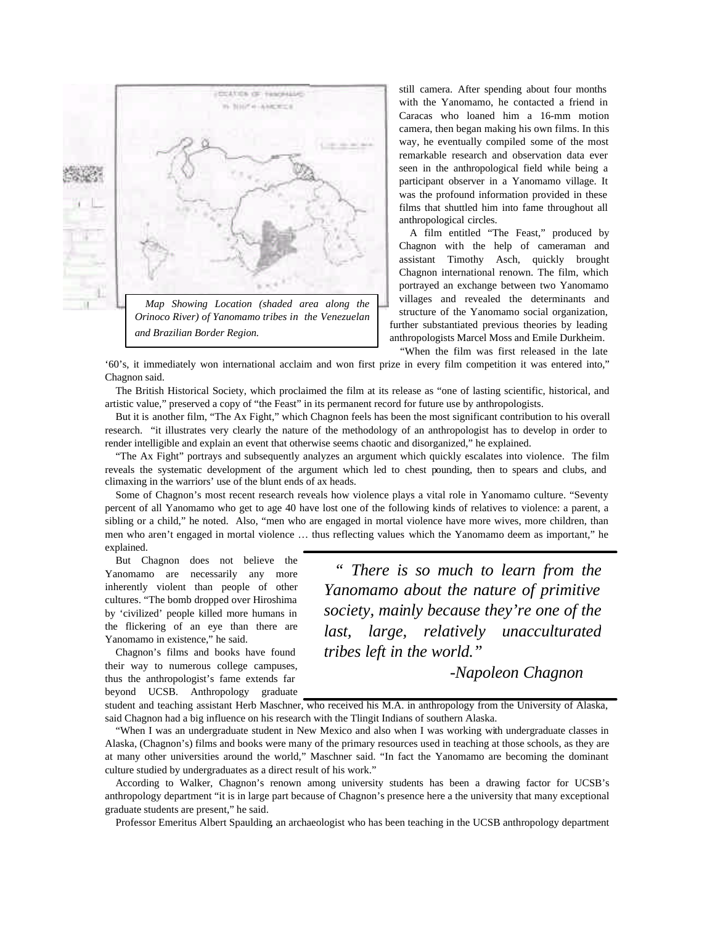

still camera. After spending about four months with the Yanomamo, he contacted a friend in Caracas who loaned him a 16-mm motion camera, then began making his own films. In this way, he eventually compiled some of the most remarkable research and observation data ever seen in the anthropological field while being a participant observer in a Yanomamo village. It was the profound information provided in these films that shuttled him into fame throughout all anthropological circles.

A film entitled "The Feast," produced by Chagnon with the help of cameraman and assistant Timothy Asch, quickly brought Chagnon international renown. The film, which portrayed an exchange between two Yanomamo villages and revealed the determinants and structure of the Yanomamo social organization, further substantiated previous theories by leading anthropologists Marcel Moss and Emile Durkheim. "When the film was first released in the late

'60's, it immediately won international acclaim and won first prize in every film competition it was entered into," Chagnon said.

The British Historical Society, which proclaimed the film at its release as "one of lasting scientific, historical, and artistic value," preserved a copy of "the Feast" in its permanent record for future use by anthropologists.

But it is another film, "The Ax Fight," which Chagnon feels has been the most significant contribution to his overall research. "it illustrates very clearly the nature of the methodology of an anthropologist has to develop in order to render intelligible and explain an event that otherwise seems chaotic and disorganized," he explained.

"The Ax Fight" portrays and subsequently analyzes an argument which quickly escalates into violence. The film reveals the systematic development of the argument which led to chest pounding, then to spears and clubs, and climaxing in the warriors' use of the blunt ends of ax heads.

Some of Chagnon's most recent research reveals how violence plays a vital role in Yanomamo culture. "Seventy percent of all Yanomamo who get to age 40 have lost one of the following kinds of relatives to violence: a parent, a sibling or a child," he noted. Also, "men who are engaged in mortal violence have more wives, more children, than men who aren't engaged in mortal violence … thus reflecting values which the Yanomamo deem as important," he explained.

But Chagnon does not believe the Yanomamo are necessarily any more inherently violent than people of other cultures. "The bomb dropped over Hiroshima by 'civilized' people killed more humans in the flickering of an eye than there are Yanomamo in existence," he said.

Chagnon's films and books have found their way to numerous college campuses, thus the anthropologist's fame extends far beyond UCSB. Anthropology graduate

*" There is so much to learn from the Yanomamo about the nature of primitive society, mainly because they're one of the last, large, relatively unacculturated tribes left in the world."*

*-Napoleon Chagnon*

student and teaching assistant Herb Maschner, who received his M.A. in anthropology from the University of Alaska, said Chagnon had a big influence on his research with the Tlingit Indians of southern Alaska.

"When I was an undergraduate student in New Mexico and also when I was working with undergraduate classes in Alaska, (Chagnon's) films and books were many of the primary resources used in teaching at those schools, as they are at many other universities around the world," Maschner said. "In fact the Yanomamo are becoming the dominant culture studied by undergraduates as a direct result of his work."

According to Walker, Chagnon's renown among university students has been a drawing factor for UCSB's anthropology department "it is in large part because of Chagnon's presence here a the university that many exceptional graduate students are present," he said.

Professor Emeritus Albert Spaulding, an archaeologist who has been teaching in the UCSB anthropology department